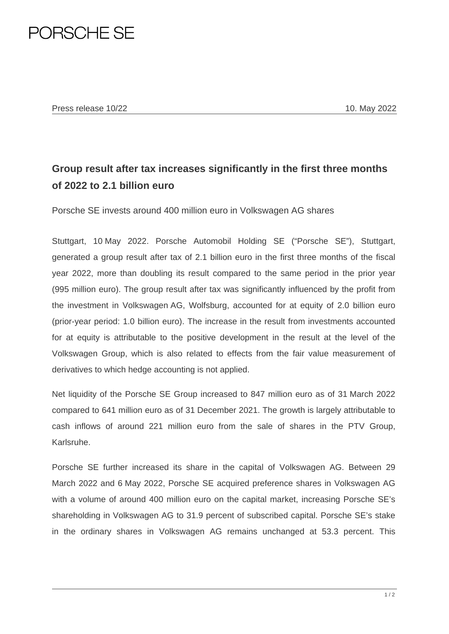## PORSCHE SE

## **Group result after tax increases significantly in the first three months of 2022 to 2.1 billion euro**

Porsche SE invests around 400 million euro in Volkswagen AG shares

Stuttgart, 10 May 2022. Porsche Automobil Holding SE ("Porsche SE"), Stuttgart, generated a group result after tax of 2.1 billion euro in the first three months of the fiscal year 2022, more than doubling its result compared to the same period in the prior year (995 million euro). The group result after tax was significantly influenced by the profit from the investment in Volkswagen AG, Wolfsburg, accounted for at equity of 2.0 billion euro (prior-year period: 1.0 billion euro). The increase in the result from investments accounted for at equity is attributable to the positive development in the result at the level of the Volkswagen Group, which is also related to effects from the fair value measurement of derivatives to which hedge accounting is not applied.

Net liquidity of the Porsche SE Group increased to 847 million euro as of 31 March 2022 compared to 641 million euro as of 31 December 2021. The growth is largely attributable to cash inflows of around 221 million euro from the sale of shares in the PTV Group, Karlsruhe.

Porsche SE further increased its share in the capital of Volkswagen AG. Between 29 March 2022 and 6 May 2022, Porsche SE acquired preference shares in Volkswagen AG with a volume of around 400 million euro on the capital market, increasing Porsche SE's shareholding in Volkswagen AG to 31.9 percent of subscribed capital. Porsche SE's stake in the ordinary shares in Volkswagen AG remains unchanged at 53.3 percent. This